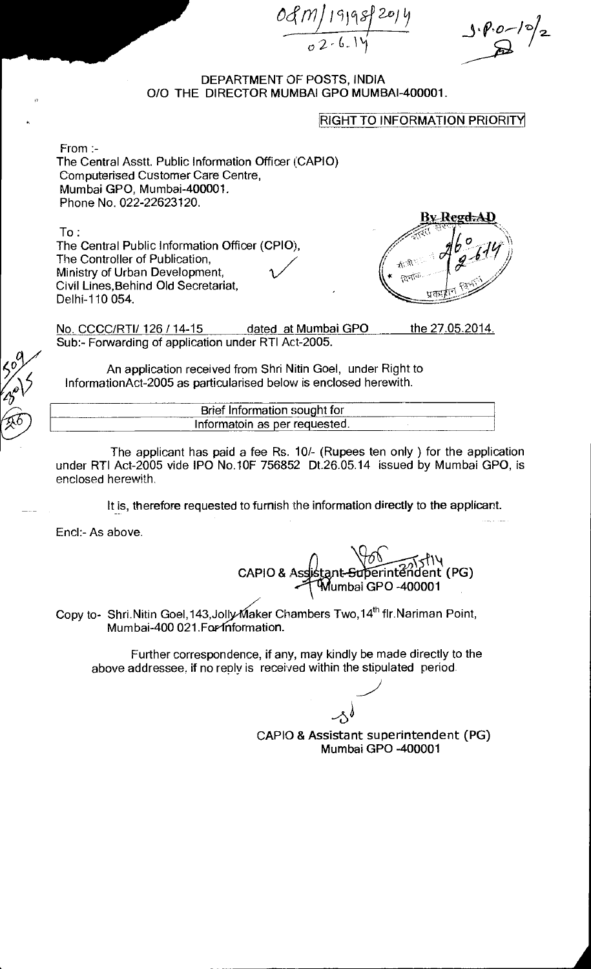0đ

### DEPARTMENT OF POSTS, INDIA 0/0 THE DIRECTOR MUMBAI GPO MUMBAI-400001.

#### RIGHT TO INFORMATION PRIORITY

From :- The Central Asstt. Public Information Officer (CAPIO) Computerised Customer Care Centre, Mumbai GPO, Mumbai-400001. Phone No. 022-22623120.

To:

The Central Public Information Officer (CPIO), The Controller of Publication, Ministry of Urban Development, Civil Lines,Behind Old Secretariat, Delhi-110 054.

By Regd.AD  $\mathbb{A}^{\mathbb{R}}$ fa fa

No. CCCC/RTI/ 126 / 14-15 dated at Mumbai GPO Sub:- Forwarding of application under RTI Act-2005. the 27.05.2014.

An application received from Shri Nitin Goel, under Right to InformationAct-2005 as particularised below is enclosed herewith.

| --------  | it for<br>Brief                    |  |
|-----------|------------------------------------|--|
| _________ | Inform<br>matoin as per requested. |  |

The applicant has paid a fee Rs. 10/- (Rupees ten only ) for the application under RTI Act-2005 vide IPO No.10F 756852 Dt.26.05.14 issued by Mumbai GPO, is enclosed herewith.

It is, therefore requested to furnish the information directly to the applicant.

End:- As above.

CAPIO & A ply and the series of the series of the series of the series of the series of the series of the series of the series of the series of the series of the series of the series of the series of the series of the series of the umbai GPO -400001

Copy to- Shri.Nitin Goel, 143, Jolly Maker Chambers Two, 14<sup>th</sup> flr.Nariman Point, Mumbai-400 021. For information.

Further correspondence, if any, may kindly be made directly to the above addressee. if no reply is received within the stipulated period.

 $\rightsquigarrow$ CAPIO & Assistant superintendent (PG) Mumbai GPO -400001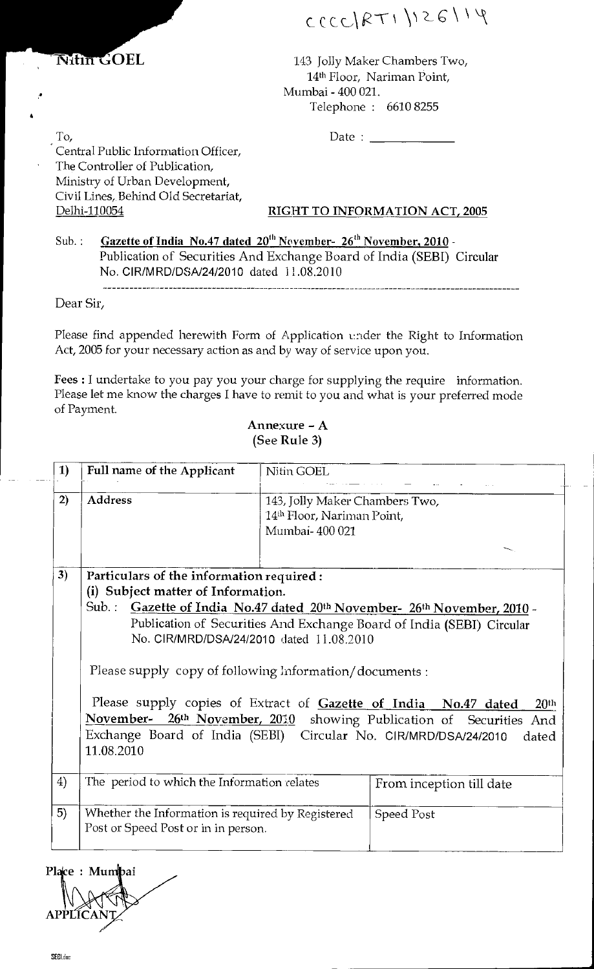

 $c$  c c c c  $|RT$   $|$   $|26$   $|$   $|$   $|$ 

143 Jolly Maker Chambers Two, 14<sup>th</sup> Floor, Nariman Point, Mumbai - 400 021. Telephone : 6610 8255

Date :

To, Central Public Information Officer, The Controller of Publication, Ministry of Urban Development, Civil Lines, Behind Old Secretariat, Delhi-110054

# RIGHT TO INFORMATION ACT, 2005

Sub.: Gazette of India No.47 dated  $20^{th}$  November-  $26^{th}$  November, 2010 -Publication of Securities And Exchange Board of India (SEBI) Circular No. CIR/MRD/DSA/24/2010 dated 11.08.2010

Dear Sir,

Please find appended herewith Form of Application under the Right to Information Act, 2005 for your necessary action as and by way of service upon you.

Fees : I undertake to you pay you your charge for supplying the require information. Please let me know the charges I have to remit to you and what is your preferred mode of Payment.

## Annexure - A (See Rule 3)

| 1) | Full name of the Applicant                                                                                                                                                                                                                                                                                      | Nitin GOEL                                                                                                                                                                                                                                                                     |                          |  |
|----|-----------------------------------------------------------------------------------------------------------------------------------------------------------------------------------------------------------------------------------------------------------------------------------------------------------------|--------------------------------------------------------------------------------------------------------------------------------------------------------------------------------------------------------------------------------------------------------------------------------|--------------------------|--|
| 2) | <b>Address</b>                                                                                                                                                                                                                                                                                                  | 143, Jolly Maker Chambers Two,<br>14th Floor, Nariman Point,<br>Mumbai-400 021                                                                                                                                                                                                 |                          |  |
| 3) |                                                                                                                                                                                                                                                                                                                 | Particulars of the information required:<br>(i) Subject matter of Information.<br>Sub.: Gazette of India No.47 dated 20th November- 26th November, 2010 -<br>Publication of Securities And Exchange Board of India (SEBI) Circular<br>No. CIR/MRD/DSA/24/2010 dated 11.08.2010 |                          |  |
|    | Please supply copy of following Information/documents :<br>Please supply copies of Extract of Gazette of India No.47 dated<br>20 <sup>th</sup><br>November- 26th November, 2010 showing Publication of Securities And<br>Exchange Board of India (SEBI) Circular No. CIR/MRD/DSA/24/2010<br>dated<br>11.08.2010 |                                                                                                                                                                                                                                                                                |                          |  |
| 4) | The period to which the Information relates                                                                                                                                                                                                                                                                     |                                                                                                                                                                                                                                                                                | From inception till date |  |
| 5) | Whether the Information is required by Registered<br>Post or Speed Post or in in person.                                                                                                                                                                                                                        |                                                                                                                                                                                                                                                                                | Speed Post               |  |

Place : Mun ibai **APP**